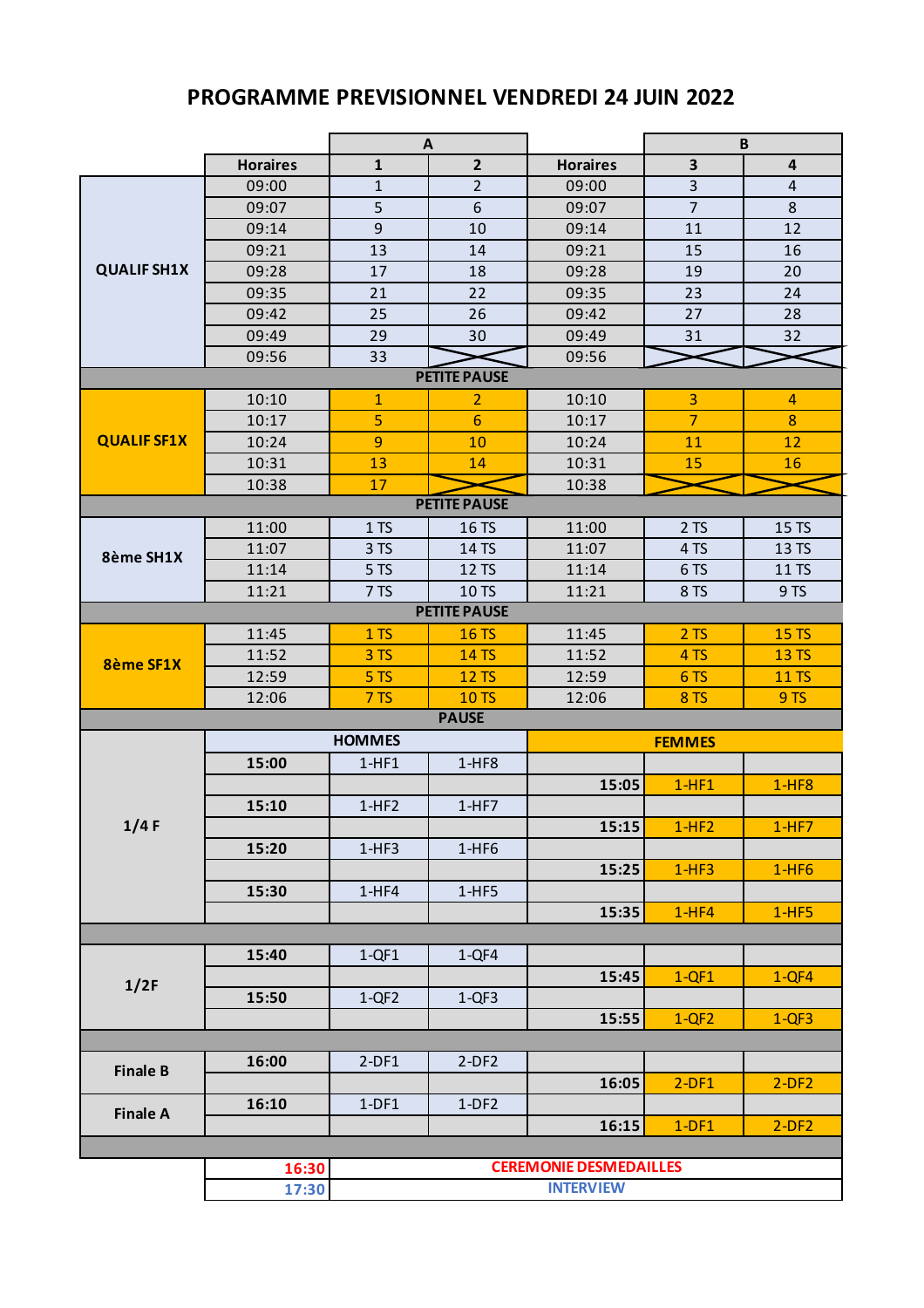## **PROGRAMME PREVISIONNEL VENDREDI 24 JUIN 2022**

|                    |                 | A                             |                     |                 | B                       |                  |  |  |  |
|--------------------|-----------------|-------------------------------|---------------------|-----------------|-------------------------|------------------|--|--|--|
|                    | <b>Horaires</b> | $\mathbf{1}$                  | $\overline{2}$      | <b>Horaires</b> | $\overline{\mathbf{3}}$ | 4                |  |  |  |
| <b>QUALIF SH1X</b> | 09:00           | $\mathbf{1}$                  | $\overline{2}$      | 09:00           | 3                       | $\overline{4}$   |  |  |  |
|                    | 09:07           | 5                             | 6                   | 09:07           | $\overline{7}$          | $\,8\,$          |  |  |  |
|                    | 09:14           | 9                             | 10                  | 09:14           | 11                      | 12               |  |  |  |
|                    | 09:21           | 13                            | 14                  | 09:21           | 15                      | 16               |  |  |  |
|                    | 09:28           | 17                            | 18                  | 09:28           | 19                      | 20               |  |  |  |
|                    | 09:35           | 21                            | 22                  | 09:35           | 23                      | 24               |  |  |  |
|                    | 09:42           | 25                            | 26                  | 09:42           | 27                      | 28               |  |  |  |
|                    | 09:49           | 29                            | 30                  | 09:49           | 31                      | 32               |  |  |  |
|                    | 09:56           | 33                            |                     | 09:56           |                         |                  |  |  |  |
|                    |                 |                               | <b>PETITE PAUSE</b> |                 |                         |                  |  |  |  |
|                    | 10:10           | $\mathbf{1}$                  | 2                   | 10:10           | 3                       | $\overline{4}$   |  |  |  |
|                    | 10:17           | 5                             | $6\phantom{1}$      | 10:17           | $\overline{7}$          | $\boldsymbol{8}$ |  |  |  |
| <b>QUALIF SF1X</b> | 10:24           | 9                             | 10                  | 10:24           | 11                      | 12               |  |  |  |
|                    | 10:31           | 13                            | 14                  | 10:31           | 15                      | 16               |  |  |  |
|                    | 10:38           | 17                            |                     | 10:38           |                         |                  |  |  |  |
|                    |                 |                               | <b>PETITE PAUSE</b> |                 |                         |                  |  |  |  |
|                    | 11:00           | 1T <sub>S</sub>               | 16 TS               | 11:00           | 2T <sub>S</sub>         | 15 TS            |  |  |  |
| 8ème SH1X          | 11:07           | 3 TS                          | 14 TS               | 11:07           | 4TS                     | 13 TS            |  |  |  |
|                    | 11:14           | 5TS                           | 12 TS               | 11:14           | 6TS                     | 11 TS            |  |  |  |
|                    | 11:21           | 7TS                           | 10 TS               | 11:21           | 8 TS                    | 9TS              |  |  |  |
|                    |                 |                               | <b>PETITE PAUSE</b> |                 |                         |                  |  |  |  |
|                    | 11:45           | 1T <sub>S</sub>               | <b>16 TS</b>        | 11:45           | 2T <sub>S</sub>         | <b>15 TS</b>     |  |  |  |
| <b>8ème SF1X</b>   | 11:52           | 3TS                           | <b>14 TS</b>        | 11:52           | 4TS                     | <b>13 TS</b>     |  |  |  |
|                    | 12:59           | 5TS                           | <b>12 TS</b>        | 12:59           | 6TS                     | <b>11 TS</b>     |  |  |  |
|                    | 12:06           | 7TS                           | <b>10TS</b>         | 12:06           | 8TS                     | 9TS              |  |  |  |
| <b>PAUSE</b>       |                 |                               |                     |                 |                         |                  |  |  |  |
|                    |                 | <b>HOMMES</b>                 |                     |                 | <b>FEMMES</b>           |                  |  |  |  |
|                    | 15:00           | $1-HF1$                       | $1-HF8$             |                 |                         |                  |  |  |  |
| 1/4F               |                 |                               |                     | 15:05           | $1-HF1$                 | $1-HF8$          |  |  |  |
|                    | 15:10           | $1-HF2$                       | $1-HF7$             |                 |                         |                  |  |  |  |
|                    |                 |                               |                     | 15:15           | $1-HF2$                 | $1-HF7$          |  |  |  |
|                    | 15:20           | $1-HF3$                       | $1-HF6$             |                 |                         |                  |  |  |  |
|                    |                 |                               |                     | 15:25           | $1-HF3$                 | $1-HF6$          |  |  |  |
|                    | 15:30           | $1-HF4$                       | $1-HF5$             |                 |                         |                  |  |  |  |
|                    |                 |                               |                     | 15:35           | $1-HF4$                 | $1-HF5$          |  |  |  |
|                    |                 |                               |                     |                 |                         |                  |  |  |  |
| 1/2F               | 15:40           | $1-QF1$                       | $1-QF4$             |                 |                         |                  |  |  |  |
|                    |                 |                               |                     | 15:45           | $1-QF1$                 | $1-QF4$          |  |  |  |
|                    | 15:50           | $1-QF2$                       | $1-QF3$             |                 |                         |                  |  |  |  |
|                    |                 |                               |                     | 15:55           | $1-QF2$                 | $1-QF3$          |  |  |  |
|                    |                 |                               |                     |                 |                         |                  |  |  |  |
| <b>Finale B</b>    | 16:00           | $2-DF1$                       | $2-DF2$             |                 |                         |                  |  |  |  |
|                    |                 |                               |                     | 16:05           | $2-DF1$                 | $2-DF2$          |  |  |  |
| <b>Finale A</b>    | 16:10           | $1-DF1$                       | $1-DF2$             |                 |                         |                  |  |  |  |
|                    |                 |                               |                     | 16:15           | $1-DF1$                 | $2-DF2$          |  |  |  |
|                    |                 |                               |                     |                 |                         |                  |  |  |  |
|                    | 16:30           | <b>CEREMONIE DESMEDAILLES</b> |                     |                 |                         |                  |  |  |  |
|                    | 17:30           | <b>INTERVIEW</b>              |                     |                 |                         |                  |  |  |  |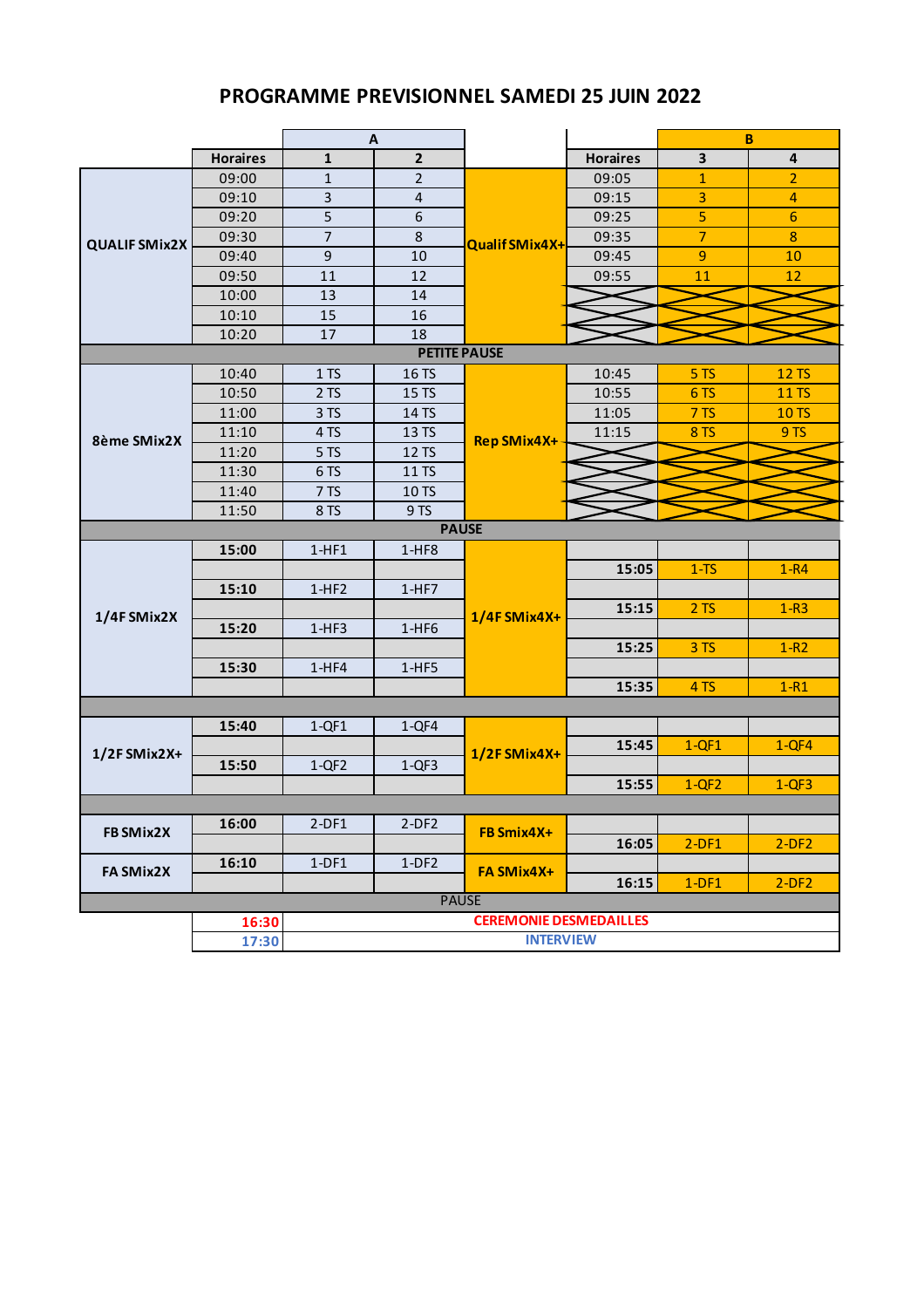## **PROGRAMME PREVISIONNEL SAMEDI 25 JUIN 2022**

|                      |                 | A                             |                         |                       |                 | B                       |                         |  |
|----------------------|-----------------|-------------------------------|-------------------------|-----------------------|-----------------|-------------------------|-------------------------|--|
|                      | <b>Horaires</b> | 1                             | $\overline{2}$          |                       | <b>Horaires</b> | $\overline{\mathbf{3}}$ | $\overline{\mathbf{4}}$ |  |
| <b>QUALIF SMix2X</b> | 09:00           | $\mathbf{1}$                  | $\overline{2}$          |                       | 09:05           | $\mathbf{1}$            | $\overline{2}$          |  |
|                      | 09:10           | 3                             | $\overline{\mathbf{4}}$ |                       | 09:15           | 3                       | 4                       |  |
|                      | 09:20           | 5                             | $\boldsymbol{6}$        |                       | 09:25           | 5                       | $6\phantom{1}$          |  |
|                      | 09:30           | 7                             | $\,8\,$                 | <b>Qualif SMix4X+</b> | 09:35           | $\overline{7}$          | $\boldsymbol{8}$        |  |
|                      | 09:40           | $\mathsf 9$                   | 10                      |                       | 09:45           | 9                       | 10                      |  |
|                      | 09:50           | 11                            | 12                      |                       | 09:55           | 11                      | 12                      |  |
|                      | 10:00           | 13                            | 14                      |                       |                 |                         |                         |  |
|                      | 10:10           | 15                            | 16                      |                       |                 |                         |                         |  |
|                      | 10:20           | 17                            | 18                      |                       |                 |                         |                         |  |
| <b>PETITE PAUSE</b>  |                 |                               |                         |                       |                 |                         |                         |  |
|                      | 10:40           | 1T <sub>S</sub>               | 16 TS                   |                       | 10:45           | 5TS                     | <b>12 TS</b>            |  |
|                      | 10:50           | 2 TS                          | 15 TS                   |                       | 10:55           | 6TS                     | <b>11 TS</b>            |  |
|                      | 11:00           | 3 TS                          | 14 TS                   |                       | 11:05           | 7TS                     | <b>10 TS</b>            |  |
| 8ème SMix2X          | 11:10           | 4 TS                          | 13 TS                   | <b>Rep SMix4X+</b>    | 11:15           | <b>8 TS</b>             | 9TS                     |  |
|                      | 11:20           | 5 TS                          | 12 TS                   |                       |                 |                         |                         |  |
|                      | 11:30           | 6TS                           | 11 TS                   |                       |                 |                         |                         |  |
|                      | 11:40           | 7 TS                          | 10 TS                   |                       |                 |                         |                         |  |
|                      | 11:50           | 8 TS                          | 9TS                     |                       |                 |                         |                         |  |
| <b>PAUSE</b>         |                 |                               |                         |                       |                 |                         |                         |  |
|                      | 15:00           | $1-HF1$                       | $1-HF8$                 |                       |                 |                         |                         |  |
|                      |                 |                               |                         |                       | 15:05           | $1-TS$                  | $1-R4$                  |  |
| 1/4F SMix2X          | 15:10           | $1-HF2$                       | $1-HF7$                 |                       |                 |                         |                         |  |
|                      |                 |                               |                         | 1/4F SMix4X+          | 15:15           | 2T <sub>S</sub>         | $1-R3$                  |  |
|                      | 15:20           | $1-HF3$                       | $1-HF6$                 |                       |                 |                         |                         |  |
|                      |                 |                               |                         |                       | 15:25           | 3 TS                    | $1-R2$                  |  |
|                      | 15:30           | $1-HF4$                       | $1-HF5$                 |                       |                 |                         |                         |  |
|                      |                 |                               |                         |                       | 15:35           | 4 TS                    | $1-R1$                  |  |
|                      |                 |                               |                         |                       |                 |                         |                         |  |
| 1/2F SMix2X+         | 15:40           | $1-QF1$                       | $1-QF4$                 | 1/2F SMix4X+          |                 |                         |                         |  |
|                      |                 |                               |                         |                       | 15:45           | $1-QF1$                 | $1-QF4$                 |  |
|                      | 15:50           | $1-QF2$                       | $1-QF3$                 |                       |                 |                         |                         |  |
|                      |                 |                               |                         |                       | 15:55           | $1-QF2$                 | $1-QF3$                 |  |
|                      |                 |                               |                         |                       |                 |                         |                         |  |
| FB SMix2X            | 16:00           | $2-DF1$                       | $2-DF2$                 | FB Smix4X+            |                 |                         |                         |  |
|                      |                 |                               |                         |                       | 16:05           | $2-DF1$                 | $2-DF2$                 |  |
| FA SMix2X            | 16:10           | $1-DF1$                       | $1-DF2$                 | FA SMix4X+            |                 |                         |                         |  |
|                      |                 |                               |                         |                       | 16:15           | $1-DF1$                 | $2-DF2$                 |  |
| <b>PAUSE</b>         |                 |                               |                         |                       |                 |                         |                         |  |
|                      | 16:30           | <b>CEREMONIE DESMEDAILLES</b> |                         |                       |                 |                         |                         |  |
|                      | 17:30           | <b>INTERVIEW</b>              |                         |                       |                 |                         |                         |  |